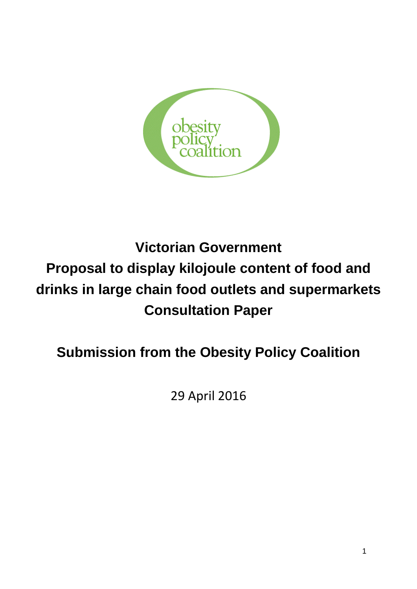

# **Victorian Government Proposal to display kilojoule content of food and drinks in large chain food outlets and supermarkets Consultation Paper**

## **Submission from the Obesity Policy Coalition**

29 April 2016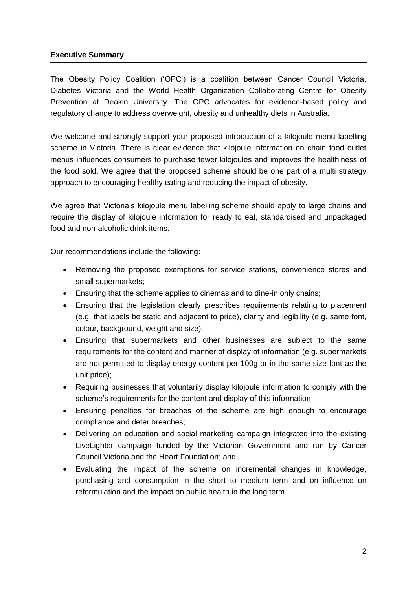## **Executive Summary**

The Obesity Policy Coalition ('OPC') is a coalition between Cancer Council Victoria, Diabetes Victoria and the World Health Organization Collaborating Centre for Obesity Prevention at Deakin University. The OPC advocates for evidence-based policy and regulatory change to address overweight, obesity and unhealthy diets in Australia.

We welcome and strongly support your proposed introduction of a kilojoule menu labelling scheme in Victoria. There is clear evidence that kilojoule information on chain food outlet menus influences consumers to purchase fewer kilojoules and improves the healthiness of the food sold. We agree that the proposed scheme should be one part of a multi strategy approach to encouraging healthy eating and reducing the impact of obesity.

We agree that Victoria's kilojoule menu labelling scheme should apply to large chains and require the display of kilojoule information for ready to eat, standardised and unpackaged food and non-alcoholic drink items.

Our recommendations include the following:

- Removing the proposed exemptions for service stations, convenience stores and small supermarkets;
- Ensuring that the scheme applies to cinemas and to dine-in only chains;
- Ensuring that the legislation clearly prescribes requirements relating to placement (e.g. that labels be static and adjacent to price), clarity and legibility (e.g. same font, colour, background, weight and size);
- Ensuring that supermarkets and other businesses are subject to the same requirements for the content and manner of display of information (e.g. supermarkets are not permitted to display energy content per 100g or in the same size font as the unit price);
- Requiring businesses that voluntarily display kilojoule information to comply with the scheme's requirements for the content and display of this information ;
- Ensuring penalties for breaches of the scheme are high enough to encourage compliance and deter breaches;
- Delivering an education and social marketing campaign integrated into the existing LiveLighter campaign funded by the Victorian Government and run by Cancer Council Victoria and the Heart Foundation; and
- Evaluating the impact of the scheme on incremental changes in knowledge, purchasing and consumption in the short to medium term and on influence on reformulation and the impact on public health in the long term.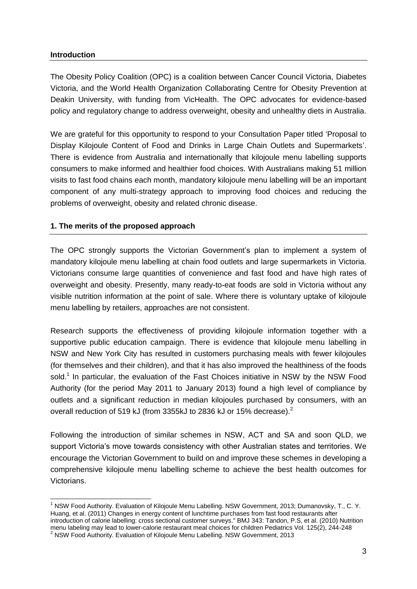## **Introduction**

 $\overline{1}$ 

The Obesity Policy Coalition (OPC) is a coalition between Cancer Council Victoria, Diabetes Victoria, and the World Health Organization Collaborating Centre for Obesity Prevention at Deakin University, with funding from VicHealth. The OPC advocates for evidence-based policy and regulatory change to address overweight, obesity and unhealthy diets in Australia.

We are grateful for this opportunity to respond to your Consultation Paper titled 'Proposal to Display Kilojoule Content of Food and Drinks in Large Chain Outlets and Supermarkets'. There is evidence from Australia and internationally that kilojoule menu labelling supports consumers to make informed and healthier food choices. With Australians making 51 million visits to fast food chains each month, mandatory kilojoule menu labelling will be an important component of any multi-strategy approach to improving food choices and reducing the problems of overweight, obesity and related chronic disease.

## **1. The merits of the proposed approach**

The OPC strongly supports the Victorian Government's plan to implement a system of mandatory kilojoule menu labelling at chain food outlets and large supermarkets in Victoria. Victorians consume large quantities of convenience and fast food and have high rates of overweight and obesity. Presently, many ready-to-eat foods are sold in Victoria without any visible nutrition information at the point of sale. Where there is voluntary uptake of kilojoule menu labelling by retailers, approaches are not consistent.

Research supports the effectiveness of providing kilojoule information together with a supportive public education campaign. There is evidence that kilojoule menu labelling in NSW and New York City has resulted in customers purchasing meals with fewer kilojoules (for themselves and their children), and that it has also improved the healthiness of the foods sold.<sup>1</sup> In particular, the evaluation of the Fast Choices initiative in NSW by the NSW Food Authority (for the period May 2011 to January 2013) found a high level of compliance by outlets and a significant reduction in median kilojoules purchased by consumers, with an overall reduction of 519 kJ (from 3355kJ to 2836 kJ or 15% decrease).<sup>2</sup>

Following the introduction of similar schemes in NSW, ACT and SA and soon QLD, we support Victoria's move towards consistency with other Australian states and territories. We encourage the Victorian Government to build on and improve these schemes in developing a comprehensive kilojoule menu labelling scheme to achieve the best health outcomes for Victorians.

 $1$  NSW Food Authority. Evaluation of Kilojoule Menu Labelling. NSW Government, 2013; Dumanovsky, T., C. Y. Huang, et al. (2011) Changes in energy content of lunchtime purchases from fast food restaurants after introduction of calorie labelling: cross sectional customer surveys." BMJ 343: Tandon, P.S, et al. (2010) Nutrition menu labeling may lead to lower-calorie restaurant meal choices for children Pediatrics Vol. 125(2), 244-248

<sup>&</sup>lt;sup>2</sup> NSW Food Authority. Evaluation of Kilojoule Menu Labelling. NSW Government, 2013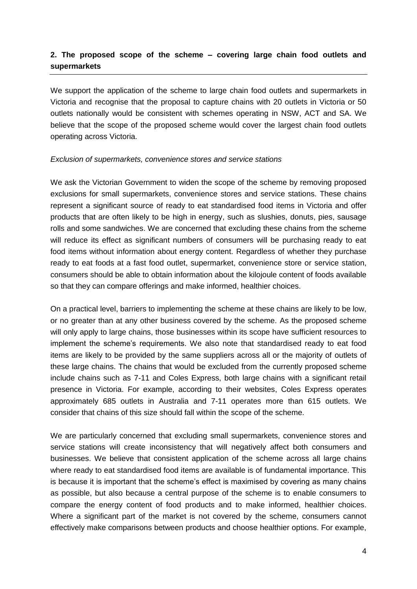## **2. The proposed scope of the scheme – covering large chain food outlets and supermarkets**

We support the application of the scheme to large chain food outlets and supermarkets in Victoria and recognise that the proposal to capture chains with 20 outlets in Victoria or 50 outlets nationally would be consistent with schemes operating in NSW, ACT and SA. We believe that the scope of the proposed scheme would cover the largest chain food outlets operating across Victoria.

#### *Exclusion of supermarkets, convenience stores and service stations*

We ask the Victorian Government to widen the scope of the scheme by removing proposed exclusions for small supermarkets, convenience stores and service stations. These chains represent a significant source of ready to eat standardised food items in Victoria and offer products that are often likely to be high in energy, such as slushies, donuts, pies, sausage rolls and some sandwiches. We are concerned that excluding these chains from the scheme will reduce its effect as significant numbers of consumers will be purchasing ready to eat food items without information about energy content. Regardless of whether they purchase ready to eat foods at a fast food outlet, supermarket, convenience store or service station, consumers should be able to obtain information about the kilojoule content of foods available so that they can compare offerings and make informed, healthier choices.

On a practical level, barriers to implementing the scheme at these chains are likely to be low, or no greater than at any other business covered by the scheme. As the proposed scheme will only apply to large chains, those businesses within its scope have sufficient resources to implement the scheme's requirements. We also note that standardised ready to eat food items are likely to be provided by the same suppliers across all or the majority of outlets of these large chains. The chains that would be excluded from the currently proposed scheme include chains such as 7-11 and Coles Express, both large chains with a significant retail presence in Victoria. For example, according to their websites, Coles Express operates approximately 685 outlets in Australia and 7-11 operates more than 615 outlets. We consider that chains of this size should fall within the scope of the scheme.

We are particularly concerned that excluding small supermarkets, convenience stores and service stations will create inconsistency that will negatively affect both consumers and businesses. We believe that consistent application of the scheme across all large chains where ready to eat standardised food items are available is of fundamental importance. This is because it is important that the scheme's effect is maximised by covering as many chains as possible, but also because a central purpose of the scheme is to enable consumers to compare the energy content of food products and to make informed, healthier choices. Where a significant part of the market is not covered by the scheme, consumers cannot effectively make comparisons between products and choose healthier options. For example,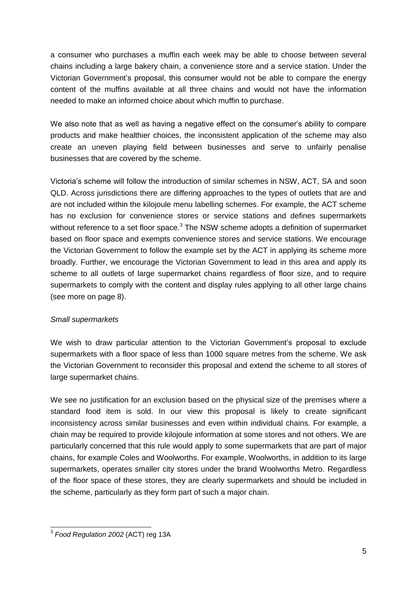a consumer who purchases a muffin each week may be able to choose between several chains including a large bakery chain, a convenience store and a service station. Under the Victorian Government's proposal, this consumer would not be able to compare the energy content of the muffins available at all three chains and would not have the information needed to make an informed choice about which muffin to purchase.

We also note that as well as having a negative effect on the consumer's ability to compare products and make healthier choices, the inconsistent application of the scheme may also create an uneven playing field between businesses and serve to unfairly penalise businesses that are covered by the scheme.

Victoria's scheme will follow the introduction of similar schemes in NSW, ACT, SA and soon QLD. Across jurisdictions there are differing approaches to the types of outlets that are and are not included within the kilojoule menu labelling schemes. For example, the ACT scheme has no exclusion for convenience stores or service stations and defines supermarkets without reference to a set floor space.<sup>3</sup> The NSW scheme adopts a definition of supermarket based on floor space and exempts convenience stores and service stations. We encourage the Victorian Government to follow the example set by the ACT in applying its scheme more broadly. Further, we encourage the Victorian Government to lead in this area and apply its scheme to all outlets of large supermarket chains regardless of floor size, and to require supermarkets to comply with the content and display rules applying to all other large chains (see more on page 8).

## *Small supermarkets*

We wish to draw particular attention to the Victorian Government's proposal to exclude supermarkets with a floor space of less than 1000 square metres from the scheme. We ask the Victorian Government to reconsider this proposal and extend the scheme to all stores of large supermarket chains.

We see no justification for an exclusion based on the physical size of the premises where a standard food item is sold. In our view this proposal is likely to create significant inconsistency across similar businesses and even within individual chains. For example, a chain may be required to provide kilojoule information at some stores and not others. We are particularly concerned that this rule would apply to some supermarkets that are part of major chains, for example Coles and Woolworths. For example, Woolworths, in addition to its large supermarkets, operates smaller city stores under the brand Woolworths Metro. Regardless of the floor space of these stores, they are clearly supermarkets and should be included in the scheme, particularly as they form part of such a major chain.

 3 *Food Regulation 2002* (ACT) reg 13A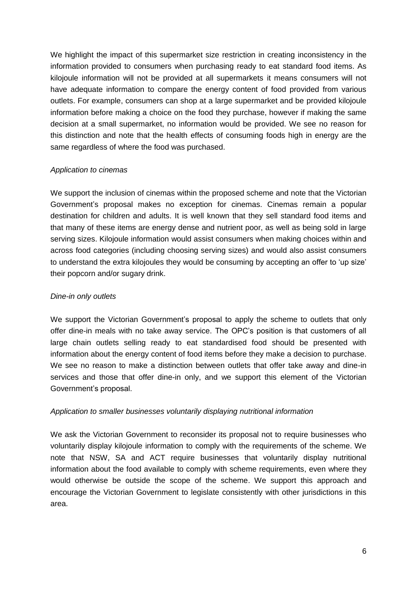We highlight the impact of this supermarket size restriction in creating inconsistency in the information provided to consumers when purchasing ready to eat standard food items. As kilojoule information will not be provided at all supermarkets it means consumers will not have adequate information to compare the energy content of food provided from various outlets. For example, consumers can shop at a large supermarket and be provided kilojoule information before making a choice on the food they purchase, however if making the same decision at a small supermarket, no information would be provided. We see no reason for this distinction and note that the health effects of consuming foods high in energy are the same regardless of where the food was purchased.

## *Application to cinemas*

We support the inclusion of cinemas within the proposed scheme and note that the Victorian Government's proposal makes no exception for cinemas. Cinemas remain a popular destination for children and adults. It is well known that they sell standard food items and that many of these items are energy dense and nutrient poor, as well as being sold in large serving sizes. Kilojoule information would assist consumers when making choices within and across food categories (including choosing serving sizes) and would also assist consumers to understand the extra kilojoules they would be consuming by accepting an offer to 'up size' their popcorn and/or sugary drink.

## *Dine-in only outlets*

We support the Victorian Government's proposal to apply the scheme to outlets that only offer dine-in meals with no take away service. The OPC's position is that customers of all large chain outlets selling ready to eat standardised food should be presented with information about the energy content of food items before they make a decision to purchase. We see no reason to make a distinction between outlets that offer take away and dine-in services and those that offer dine-in only, and we support this element of the Victorian Government's proposal.

#### *Application to smaller businesses voluntarily displaying nutritional information*

We ask the Victorian Government to reconsider its proposal not to require businesses who voluntarily display kilojoule information to comply with the requirements of the scheme. We note that NSW, SA and ACT require businesses that voluntarily display nutritional information about the food available to comply with scheme requirements, even where they would otherwise be outside the scope of the scheme. We support this approach and encourage the Victorian Government to legislate consistently with other jurisdictions in this area.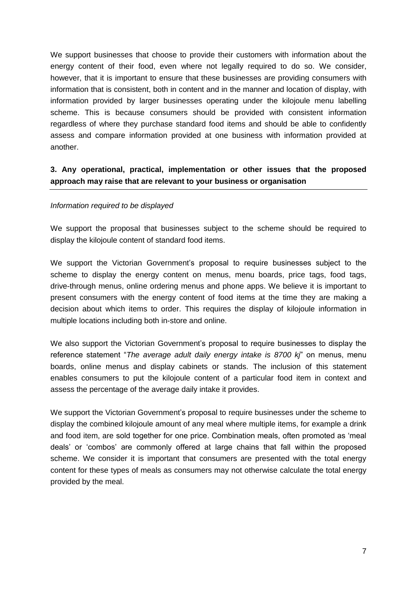We support businesses that choose to provide their customers with information about the energy content of their food, even where not legally required to do so. We consider, however, that it is important to ensure that these businesses are providing consumers with information that is consistent, both in content and in the manner and location of display, with information provided by larger businesses operating under the kilojoule menu labelling scheme. This is because consumers should be provided with consistent information regardless of where they purchase standard food items and should be able to confidently assess and compare information provided at one business with information provided at another.

## **3. Any operational, practical, implementation or other issues that the proposed approach may raise that are relevant to your business or organisation**

## *Information required to be displayed*

We support the proposal that businesses subject to the scheme should be required to display the kilojoule content of standard food items.

We support the Victorian Government's proposal to require businesses subject to the scheme to display the energy content on menus, menu boards, price tags, food tags, drive-through menus, online ordering menus and phone apps. We believe it is important to present consumers with the energy content of food items at the time they are making a decision about which items to order. This requires the display of kilojoule information in multiple locations including both in-store and online.

We also support the Victorian Government's proposal to require businesses to display the reference statement "*The average adult daily energy intake is 8700 kj*" on menus, menu boards, online menus and display cabinets or stands. The inclusion of this statement enables consumers to put the kilojoule content of a particular food item in context and assess the percentage of the average daily intake it provides.

We support the Victorian Government's proposal to require businesses under the scheme to display the combined kilojoule amount of any meal where multiple items, for example a drink and food item, are sold together for one price. Combination meals, often promoted as 'meal deals' or 'combos' are commonly offered at large chains that fall within the proposed scheme. We consider it is important that consumers are presented with the total energy content for these types of meals as consumers may not otherwise calculate the total energy provided by the meal.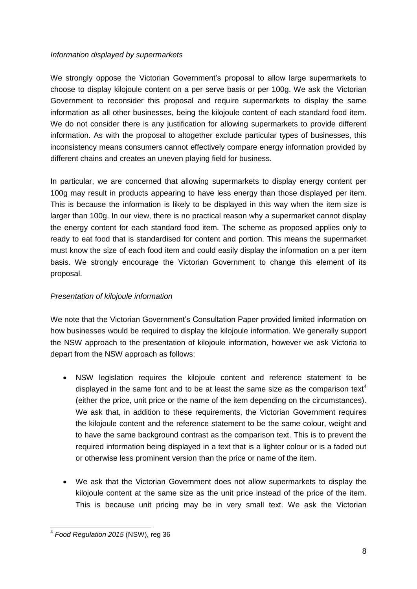## *Information displayed by supermarkets*

We strongly oppose the Victorian Government's proposal to allow large supermarkets to choose to display kilojoule content on a per serve basis or per 100g. We ask the Victorian Government to reconsider this proposal and require supermarkets to display the same information as all other businesses, being the kilojoule content of each standard food item. We do not consider there is any justification for allowing supermarkets to provide different information. As with the proposal to altogether exclude particular types of businesses, this inconsistency means consumers cannot effectively compare energy information provided by different chains and creates an uneven playing field for business.

In particular, we are concerned that allowing supermarkets to display energy content per 100g may result in products appearing to have less energy than those displayed per item. This is because the information is likely to be displayed in this way when the item size is larger than 100g. In our view, there is no practical reason why a supermarket cannot display the energy content for each standard food item. The scheme as proposed applies only to ready to eat food that is standardised for content and portion. This means the supermarket must know the size of each food item and could easily display the information on a per item basis. We strongly encourage the Victorian Government to change this element of its proposal.

## *Presentation of kilojoule information*

We note that the Victorian Government's Consultation Paper provided limited information on how businesses would be required to display the kilojoule information. We generally support the NSW approach to the presentation of kilojoule information, however we ask Victoria to depart from the NSW approach as follows:

- NSW legislation requires the kilojoule content and reference statement to be displayed in the same font and to be at least the same size as the comparison text<sup>4</sup> (either the price, unit price or the name of the item depending on the circumstances). We ask that, in addition to these requirements, the Victorian Government requires the kilojoule content and the reference statement to be the same colour, weight and to have the same background contrast as the comparison text. This is to prevent the required information being displayed in a text that is a lighter colour or is a faded out or otherwise less prominent version than the price or name of the item.
- We ask that the Victorian Government does not allow supermarkets to display the kilojoule content at the same size as the unit price instead of the price of the item. This is because unit pricing may be in very small text. We ask the Victorian

 4 *Food Regulation 2015* (NSW), reg 36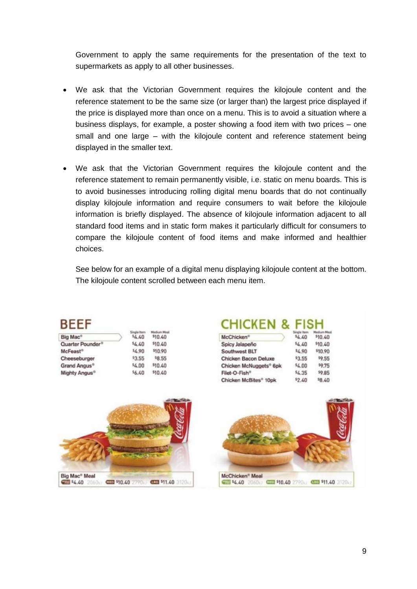Government to apply the same requirements for the presentation of the text to supermarkets as apply to all other businesses.

- We ask that the Victorian Government requires the kilojoule content and the reference statement to be the same size (or larger than) the largest price displayed if the price is displayed more than once on a menu. This is to avoid a situation where a business displays, for example, a poster showing a food item with two prices – one small and one large – with the kilojoule content and reference statement being displayed in the smaller text.
- We ask that the Victorian Government requires the kilojoule content and the reference statement to remain permanently visible, i.e. static on menu boards. This is to avoid businesses introducing rolling digital menu boards that do not continually display kilojoule information and require consumers to wait before the kilojoule information is briefly displayed. The absence of kilojoule information adjacent to all standard food items and in static form makes it particularly difficult for consumers to compare the kilojoule content of food items and make informed and healthier choices.

See below for an example of a digital menu displaying kilojoule content at the bottom. The kilojoule content scrolled between each menu item.

| Big Mac®                     | 44.40  | \$10.40 |
|------------------------------|--------|---------|
| Quarter Pounder <sup>®</sup> | \$4.40 | \$10.40 |
| McFeast <sup>®</sup>         | 54.90  | \$10.90 |
| Cheeseburger                 | \$3.55 | \$8.55  |
| Grand Angus                  | \$4.00 | \$10,40 |
| Mighty Angus <sup>®</sup>    | \$6.40 | \$10.40 |
|                              |        |         |

## **CHICKEN & FISH**

| McChicken <sup>®</sup>            | \$4.40 | \$10.40 |
|-----------------------------------|--------|---------|
| Spicy Jalapeño                    | 54.40  | \$10.40 |
| Southwest BLT                     | 54.90  | \$10.90 |
| Chicken Bacon Deluxe              | \$3,55 | \$9.55  |
| Chicken McNuggets® 6pk            | 54.00  | 59.75   |
| Filet-O-Fish®                     | \$4.35 | \$9.85  |
| Chicken McBites <sup>®</sup> 10pk | \$2.40 | 58.40   |



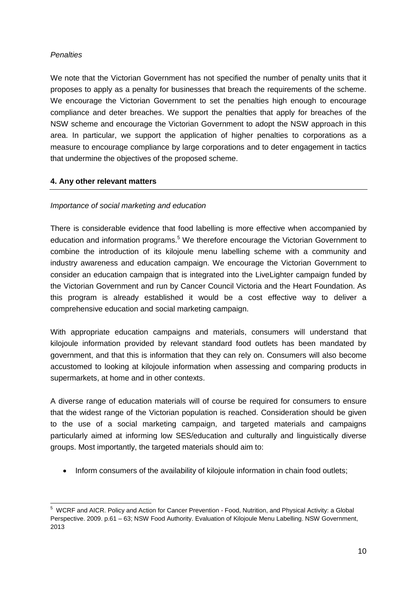## *Penalties*

We note that the Victorian Government has not specified the number of penalty units that it proposes to apply as a penalty for businesses that breach the requirements of the scheme. We encourage the Victorian Government to set the penalties high enough to encourage compliance and deter breaches. We support the penalties that apply for breaches of the NSW scheme and encourage the Victorian Government to adopt the NSW approach in this area. In particular, we support the application of higher penalties to corporations as a measure to encourage compliance by large corporations and to deter engagement in tactics that undermine the objectives of the proposed scheme.

## **4. Any other relevant matters**

## *Importance of social marketing and education*

There is considerable evidence that food labelling is more effective when accompanied by education and information programs.<sup>5</sup> We therefore encourage the Victorian Government to combine the introduction of its kilojoule menu labelling scheme with a community and industry awareness and education campaign. We encourage the Victorian Government to consider an education campaign that is integrated into the LiveLighter campaign funded by the Victorian Government and run by Cancer Council Victoria and the Heart Foundation. As this program is already established it would be a cost effective way to deliver a comprehensive education and social marketing campaign.

With appropriate education campaigns and materials, consumers will understand that kilojoule information provided by relevant standard food outlets has been mandated by government, and that this is information that they can rely on. Consumers will also become accustomed to looking at kilojoule information when assessing and comparing products in supermarkets, at home and in other contexts.

A diverse range of education materials will of course be required for consumers to ensure that the widest range of the Victorian population is reached. Consideration should be given to the use of a social marketing campaign, and targeted materials and campaigns particularly aimed at informing low SES/education and culturally and linguistically diverse groups. Most importantly, the targeted materials should aim to:

• Inform consumers of the availability of kilojoule information in chain food outlets;

 $\overline{a}$ <sup>5</sup> WCRF and AICR. Policy and Action for Cancer Prevention - Food, Nutrition, and Physical Activity: a Global Perspective. 2009. p.61 – 63; NSW Food Authority. Evaluation of Kilojoule Menu Labelling. NSW Government, 2013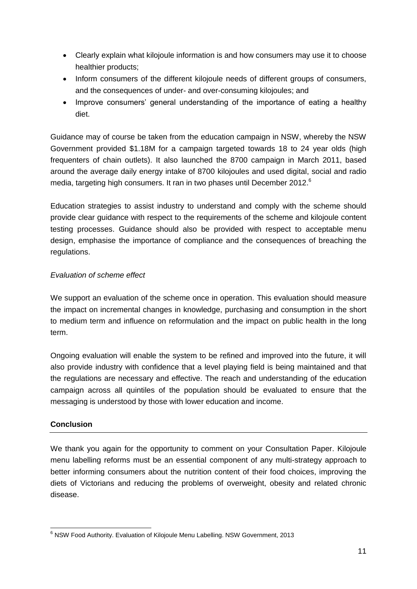- Clearly explain what kilojoule information is and how consumers may use it to choose healthier products;
- Inform consumers of the different kilojoule needs of different groups of consumers, and the consequences of under- and over-consuming kilojoules; and
- Improve consumers' general understanding of the importance of eating a healthy diet.

Guidance may of course be taken from the education campaign in NSW, whereby the NSW Government provided \$1.18M for a campaign targeted towards 18 to 24 year olds (high frequenters of chain outlets). It also launched the 8700 campaign in March 2011, based around the average daily energy intake of 8700 kilojoules and used digital, social and radio media, targeting high consumers. It ran in two phases until December 2012.<sup>6</sup>

Education strategies to assist industry to understand and comply with the scheme should provide clear guidance with respect to the requirements of the scheme and kilojoule content testing processes. Guidance should also be provided with respect to acceptable menu design, emphasise the importance of compliance and the consequences of breaching the regulations.

## *Evaluation of scheme effect*

We support an evaluation of the scheme once in operation. This evaluation should measure the impact on incremental changes in knowledge, purchasing and consumption in the short to medium term and influence on reformulation and the impact on public health in the long term.

Ongoing evaluation will enable the system to be refined and improved into the future, it will also provide industry with confidence that a level playing field is being maintained and that the regulations are necessary and effective. The reach and understanding of the education campaign across all quintiles of the population should be evaluated to ensure that the messaging is understood by those with lower education and income.

## **Conclusion**

We thank you again for the opportunity to comment on your Consultation Paper. Kilojoule menu labelling reforms must be an essential component of any multi-strategy approach to better informing consumers about the nutrition content of their food choices, improving the diets of Victorians and reducing the problems of overweight, obesity and related chronic disease.

<sup>-</sup> $6$  NSW Food Authority. Evaluation of Kilojoule Menu Labelling. NSW Government, 2013